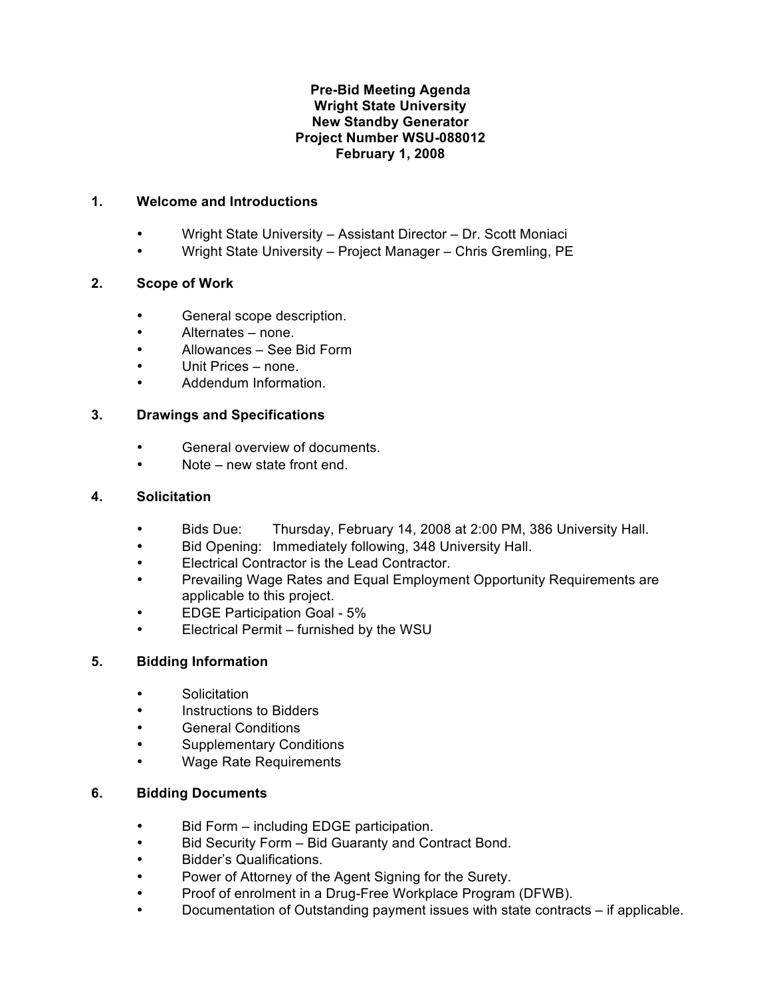## **Pre-Bid Meeting Agenda Wright State University New Standby Generator Project Number WSU-088012 February 1, 2008**

## **1. Welcome and Introductions**

- Wright State University Assistant Director Dr. Scott Moniaci
- Wright State University Project Manager Chris Gremling, PE

# **2. Scope of Work**

- General scope description.
- Alternates none.
- Allowances See Bid Form
- Unit Prices none.
- Addendum Information.

## **3. Drawings and Specifications**

- General overview of documents.
- Note new state front end.

## **4. Solicitation**

- Bids Due: Thursday, February 14, 2008 at 2:00 PM, 386 University Hall.
- Bid Opening: Immediately following, 348 University Hall.
- Electrical Contractor is the Lead Contractor.
- Prevailing Wage Rates and Equal Employment Opportunity Requirements are applicable to this project.
- EDGE Participation Goal 5%
- Electrical Permit furnished by the WSU

# **5. Bidding Information**

- Solicitation
- Instructions to Bidders
- General Conditions
- Supplementary Conditions
- Wage Rate Requirements

#### **6. Bidding Documents**

- Bid Form including EDGE participation.
- Bid Security Form Bid Guaranty and Contract Bond.
- Bidder's Qualifications.
- Power of Attorney of the Agent Signing for the Surety.
- Proof of enrolment in a Drug-Free Workplace Program (DFWB).
- Documentation of Outstanding payment issues with state contracts if applicable.